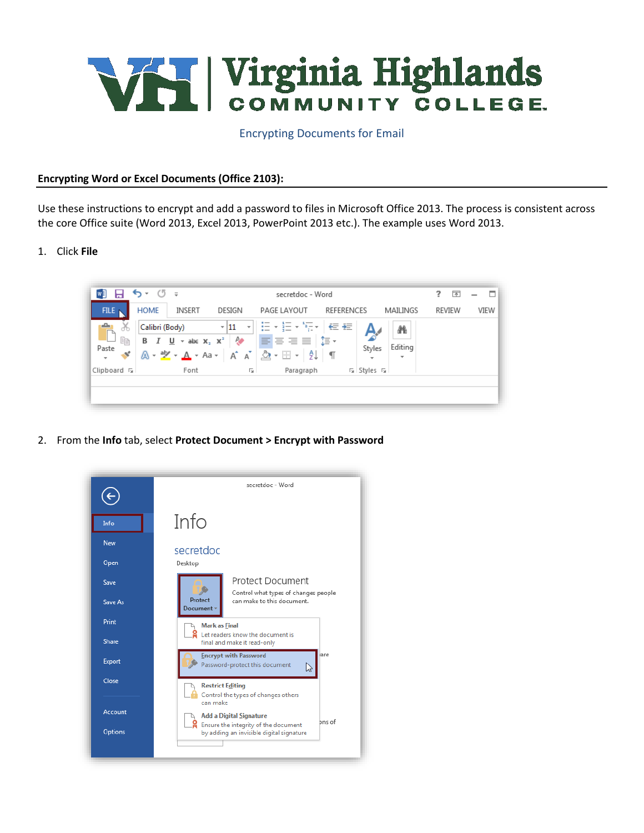

Encrypting Documents for Email

## **Encrypting Word or Excel Documents (Office 2103):**

Use these instructions to encrypt and add a password to files in Microsoft Office 2013. The process is consistent across the core Office suite (Word 2013, Excel 2013, PowerPoint 2013 etc.). The example uses Word 2013.

1. Click **File**



2. From the **Info** tab, select **Protect Document > Encrypt with Password**

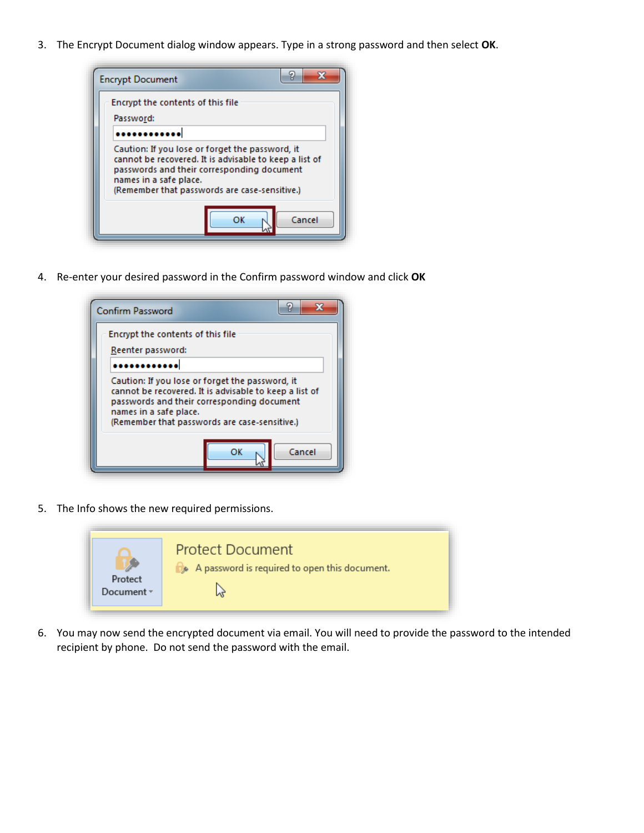3. The Encrypt Document dialog window appears. Type in a strong password and then select **OK**.



4. Re-enter your desired password in the Confirm password window and click **OK**



5. The Info shows the new required permissions.



6. You may now send the encrypted document via email. You will need to provide the password to the intended recipient by phone. Do not send the password with the email.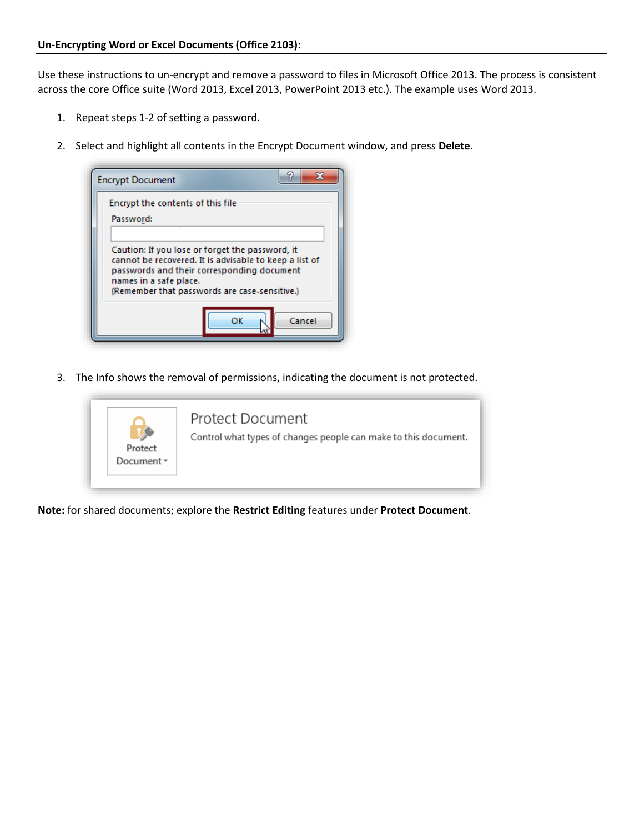Use these instructions to un-encrypt and remove a password to files in Microsoft Office 2013. The process is consistent across the core Office suite (Word 2013, Excel 2013, PowerPoint 2013 etc.). The example uses Word 2013.

- 1. Repeat steps 1-2 of setting a password.
- 2. Select and highlight all contents in the Encrypt Document window, and press **Delete**.

| <b>Encrypt Document</b> |                                                                                                                                                                                                          |    | 9      |
|-------------------------|----------------------------------------------------------------------------------------------------------------------------------------------------------------------------------------------------------|----|--------|
| Password:               | Encrypt the contents of this file                                                                                                                                                                        |    |        |
| names in a safe place.  | Caution: If you lose or forget the password, it<br>cannot be recovered. It is advisable to keep a list of<br>passwords and their corresponding document<br>(Remember that passwords are case-sensitive.) |    |        |
|                         |                                                                                                                                                                                                          | ОΚ | Cancel |

3. The Info shows the removal of permissions, indicating the document is not protected.



**Note:** for shared documents; explore the **Restrict Editing** features under **Protect Document**.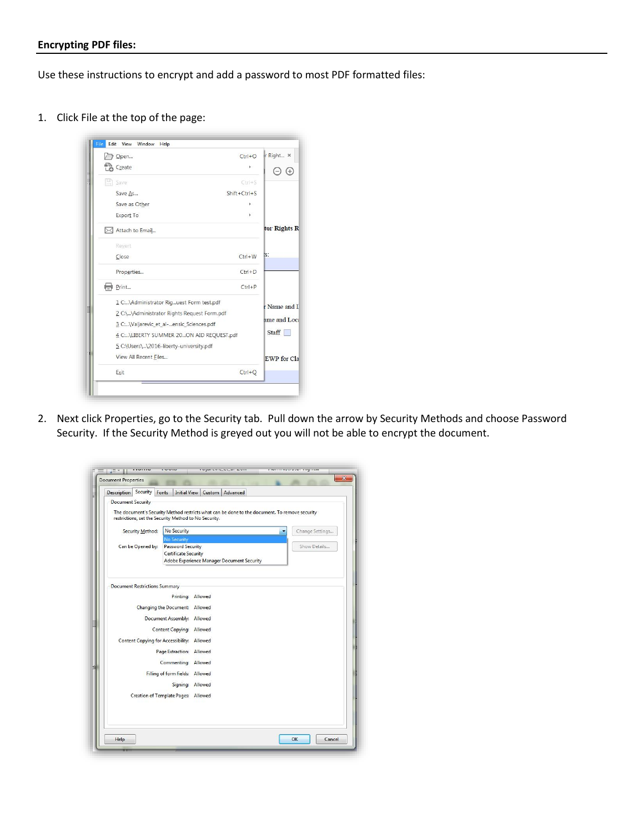## **Encrypting PDF files:**

Use these instructions to encrypt and add a password to most PDF formatted files:

1. Click File at the top of the page:



 $2.$ 2. Next click Properties, go to the Security tab. Pull down the arrow by Security Methods and choose Password Security. If the Security Method is greyed out you will not be able to encrypt the document.

| Description Security                 | Fonts<br>Initial View   Custom   Advanced                                                                                                              |                 |
|--------------------------------------|--------------------------------------------------------------------------------------------------------------------------------------------------------|-----------------|
| <b>Document Security</b>             |                                                                                                                                                        |                 |
|                                      | The document's Security Method restricts what can be done to the document. To remove security<br>restrictions, set the Security Method to No Security. |                 |
| Security Method:                     | No Security                                                                                                                                            | Change Settings |
|                                      | <b>No Security</b>                                                                                                                                     |                 |
| Can be Opened by:                    | <b>Password Security</b>                                                                                                                               | Show Details    |
|                                      | Certificate Security<br>Adobe Experience Manager Document Security                                                                                     |                 |
|                                      |                                                                                                                                                        |                 |
| <b>Document Restrictions Summary</b> |                                                                                                                                                        |                 |
|                                      |                                                                                                                                                        |                 |
|                                      | Printing: Allowed                                                                                                                                      |                 |
|                                      | Changing the Document: Allowed                                                                                                                         |                 |
|                                      | Document Assembly: Allowed                                                                                                                             |                 |
|                                      | Content Copying: Allowed                                                                                                                               |                 |
|                                      | Content Copying for Accessibility: Allowed                                                                                                             |                 |
|                                      |                                                                                                                                                        |                 |
|                                      | Page Extraction: Allowed                                                                                                                               |                 |
|                                      | Commenting: Allowed                                                                                                                                    |                 |
|                                      | Filling of form fields: Allowed                                                                                                                        |                 |
|                                      | Signing: Allowed                                                                                                                                       |                 |
|                                      | Creation of Template Pages: Allowed                                                                                                                    |                 |
|                                      |                                                                                                                                                        |                 |
|                                      |                                                                                                                                                        |                 |
|                                      |                                                                                                                                                        |                 |
|                                      |                                                                                                                                                        |                 |